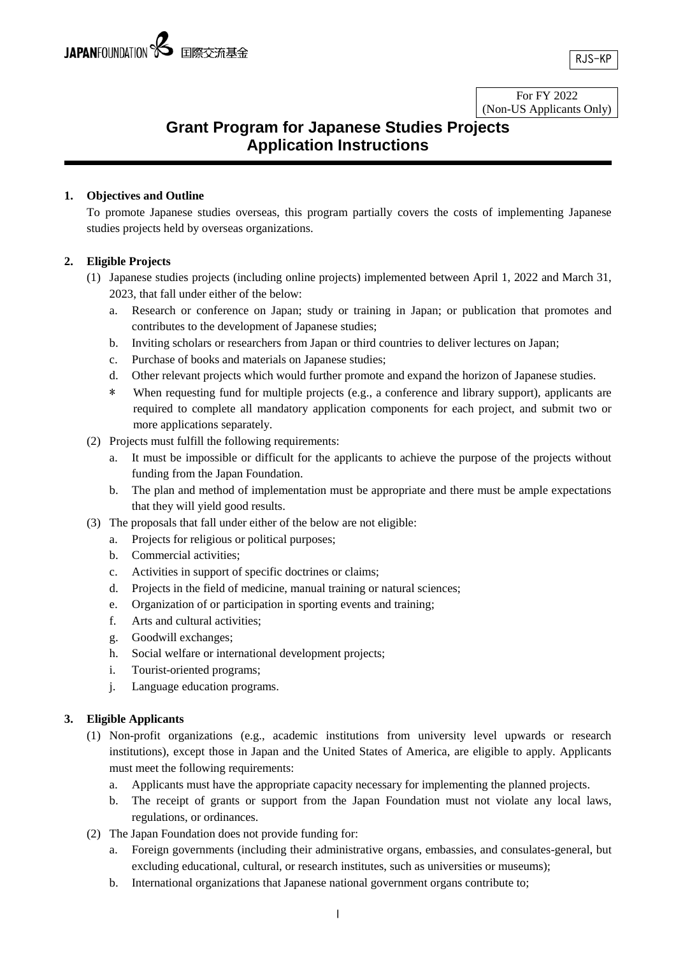For FY 2022 (Non-US Applicants Only)

# **Grant Program for Japanese Studies Projects Application Instructions**

### **1. Objectives and Outline**

To promote Japanese studies overseas, this program partially covers the costs of implementing Japanese studies projects held by overseas organizations.

### **2. Eligible Projects**

- (1) Japanese studies projects (including online projects) implemented between April 1, 2022 and March 31, 2023, that fall under either of the below:
	- a. Research or conference on Japan; study or training in Japan; or publication that promotes and contributes to the development of Japanese studies;
	- b. Inviting scholars or researchers from Japan or third countries to deliver lectures on Japan;
	- c. Purchase of books and materials on Japanese studies;
	- d. Other relevant projects which would further promote and expand the horizon of Japanese studies.
	- \* When requesting fund for multiple projects (e.g., a conference and library support), applicants are required to complete all mandatory application components for each project, and submit two or more applications separately.
- (2) Projects must fulfill the following requirements:
	- a. It must be impossible or difficult for the applicants to achieve the purpose of the projects without funding from the Japan Foundation.
	- b. The plan and method of implementation must be appropriate and there must be ample expectations that they will yield good results.
- (3) The proposals that fall under either of the below are not eligible:
	- a. Projects for religious or political purposes;
	- b. Commercial activities;
	- c. Activities in support of specific doctrines or claims;
	- d. Projects in the field of medicine, manual training or natural sciences;
	- e. Organization of or participation in sporting events and training;
	- f. Arts and cultural activities;
	- g. Goodwill exchanges;
	- h. Social welfare or international development projects;
	- i. Tourist-oriented programs;
	- j. Language education programs.

### **3. Eligible Applicants**

- (1) Non-profit organizations (e.g., academic institutions from university level upwards or research institutions), except those in Japan and the United States of America, are eligible to apply. Applicants must meet the following requirements:
	- a. Applicants must have the appropriate capacity necessary for implementing the planned projects.
	- b. The receipt of grants or support from the Japan Foundation must not violate any local laws, regulations, or ordinances.
- (2) The Japan Foundation does not provide funding for:
	- a. Foreign governments (including their administrative organs, embassies, and consulates-general, but excluding educational, cultural, or research institutes, such as universities or museums);
	- b. International organizations that Japanese national government organs contribute to;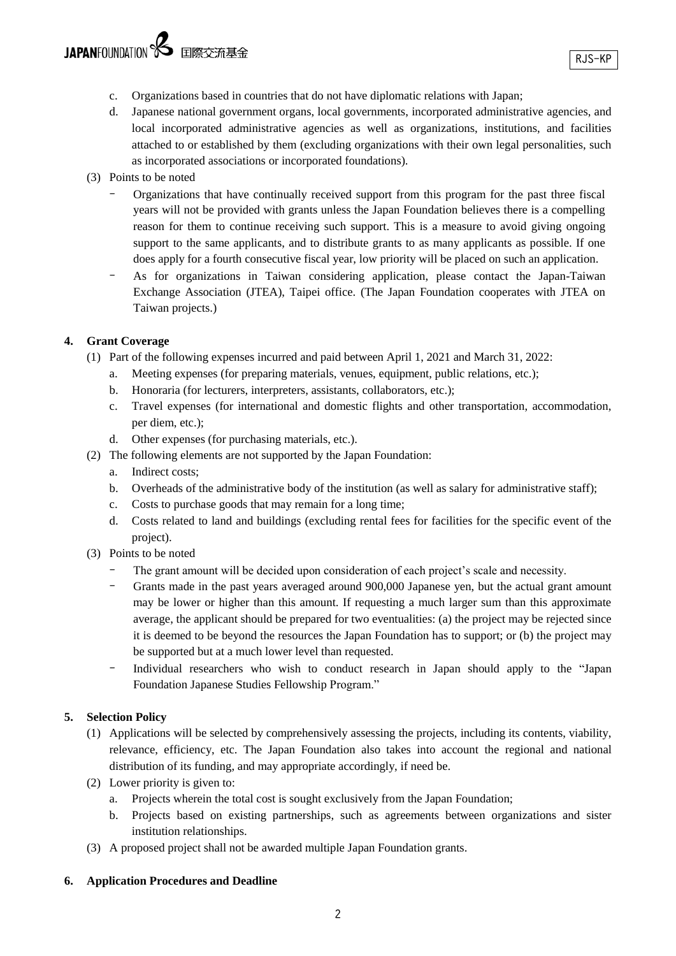- c. Organizations based in countries that do not have diplomatic relations with Japan;
- d. Japanese national government organs, local governments, incorporated administrative agencies, and local incorporated administrative agencies as well as organizations, institutions, and facilities attached to or established by them (excluding organizations with their own legal personalities, such as incorporated associations or incorporated foundations).
- (3) Points to be noted
	- Organizations that have continually received support from this program for the past three fiscal years will not be provided with grants unless the Japan Foundation believes there is a compelling reason for them to continue receiving such support. This is a measure to avoid giving ongoing support to the same applicants, and to distribute grants to as many applicants as possible. If one does apply for a fourth consecutive fiscal year, low priority will be placed on such an application.
	- As for organizations in Taiwan considering application, please contact the Japan-Taiwan Exchange Association (JTEA), Taipei office. (The Japan Foundation cooperates with JTEA on Taiwan projects.)

### **4. Grant Coverage**

- (1) Part of the following expenses incurred and paid between April 1, 2021 and March 31, 2022:
	- a. Meeting expenses (for preparing materials, venues, equipment, public relations, etc.);
	- b. Honoraria (for lecturers, interpreters, assistants, collaborators, etc.);
	- c. Travel expenses (for international and domestic flights and other transportation, accommodation, per diem, etc.);
	- d. Other expenses (for purchasing materials, etc.).
- (2) The following elements are not supported by the Japan Foundation:
	- a. Indirect costs;
		- b. Overheads of the administrative body of the institution (as well as salary for administrative staff);
		- c. Costs to purchase goods that may remain for a long time;
		- d. Costs related to land and buildings (excluding rental fees for facilities for the specific event of the project).
- (3) Points to be noted
	- The grant amount will be decided upon consideration of each project's scale and necessity.
	- Grants made in the past years averaged around 900,000 Japanese yen, but the actual grant amount may be lower or higher than this amount. If requesting a much larger sum than this approximate average, the applicant should be prepared for two eventualities: (a) the project may be rejected since it is deemed to be beyond the resources the Japan Foundation has to support; or (b) the project may be supported but at a much lower level than requested.
	- Individual researchers who wish to conduct research in Japan should apply to the "Japan Foundation Japanese Studies Fellowship Program."

### **5. Selection Policy**

- (1) Applications will be selected by comprehensively assessing the projects, including its contents, viability, relevance, efficiency, etc. The Japan Foundation also takes into account the regional and national distribution of its funding, and may appropriate accordingly, if need be.
- (2) Lower priority is given to:
	- a. Projects wherein the total cost is sought exclusively from the Japan Foundation;
	- b. Projects based on existing partnerships, such as agreements between organizations and sister institution relationships.
- (3) A proposed project shall not be awarded multiple Japan Foundation grants.

### **6. Application Procedures and Deadline**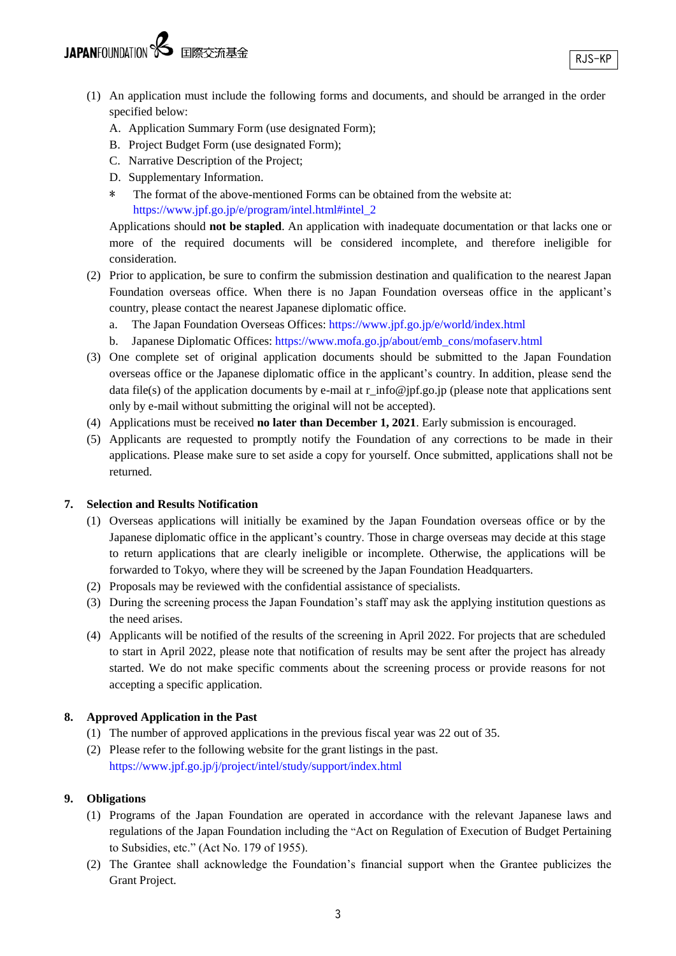- (1) An application must include the following forms and documents, and should be arranged in the order specified below:
	- A. Application Summary Form (use designated Form);
	- B. Project Budget Form (use designated Form);
	- C. Narrative Description of the Project;
	- D. Supplementary Information.
	- \* The format of the above-mentioned Forms can be obtained from the website at: [https://www.jpf.go.jp/e/program/intel.html#intel\\_2](https://www.jpf.go.jp/e/program/intel.html#intel_2)

Applications should **not be stapled**. An application with inadequate documentation or that lacks one or more of the required documents will be considered incomplete, and therefore ineligible for consideration.

- (2) Prior to application, be sure to confirm the submission destination and qualification to the nearest Japan Foundation overseas office. When there is no Japan Foundation overseas office in the applicant's country, please contact the nearest Japanese diplomatic office.
	- a. The Japan Foundation Overseas Offices[: https://www.jpf.go.jp/e/world/index.html](https://www.jpf.go.jp/e/world/index.html)
	- b. Japanese Diplomatic Offices: [https://www.mofa.go.jp/about/emb\\_cons/mofaserv.html](https://www.mofa.go.jp/about/emb_cons/mofaserv.html)
- (3) One complete set of original application documents should be submitted to the Japan Foundation overseas office or the Japanese diplomatic office in the applicant's country. In addition, please send the data file(s) of the application documents by e-mail at r\_info@jpf.go.jp (please note that applications sent only by e-mail without submitting the original will not be accepted).
- (4) Applications must be received **no later than December 1, 2021**. Early submission is encouraged.
- (5) Applicants are requested to promptly notify the Foundation of any corrections to be made in their applications. Please make sure to set aside a copy for yourself. Once submitted, applications shall not be returned.

### **7. Selection and Results Notification**

- (1) Overseas applications will initially be examined by the Japan Foundation overseas office or by the Japanese diplomatic office in the applicant's country. Those in charge overseas may decide at this stage to return applications that are clearly ineligible or incomplete. Otherwise, the applications will be forwarded to Tokyo, where they will be screened by the Japan Foundation Headquarters.
- (2) Proposals may be reviewed with the confidential assistance of specialists.
- (3) During the screening process the Japan Foundation's staff may ask the applying institution questions as the need arises.
- (4) Applicants will be notified of the results of the screening in April 2022. For projects that are scheduled to start in April 2022, please note that notification of results may be sent after the project has already started. We do not make specific comments about the screening process or provide reasons for not accepting a specific application.

### **8. Approved Application in the Past**

- (1) The number of approved applications in the previous fiscal year was 22 out of 35.
- (2) Please refer to the following website for the grant listings in the past. <https://www.jpf.go.jp/j/project/intel/study/support/index.html>

### **9. Obligations**

- (1) Programs of the Japan Foundation are operated in accordance with the relevant Japanese laws and regulations of the Japan Foundation including the "Act on Regulation of Execution of Budget Pertaining to Subsidies, etc." (Act No. 179 of 1955).
- (2) The Grantee shall acknowledge the Foundation's financial support when the Grantee publicizes the Grant Project.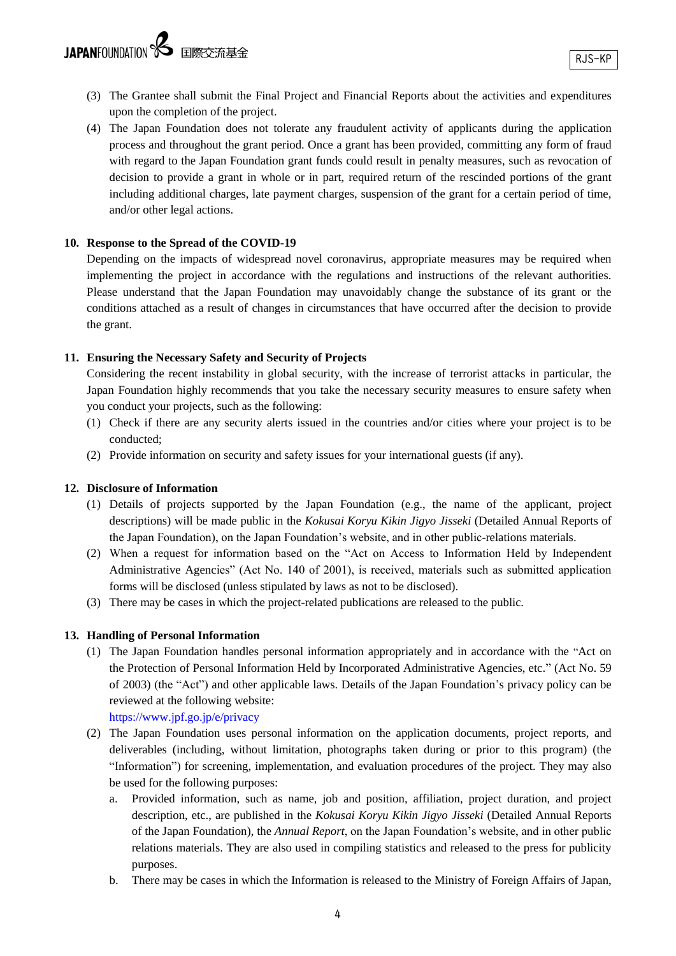- (3) The Grantee shall submit the Final Project and Financial Reports about the activities and expenditures upon the completion of the project.
- (4) The Japan Foundation does not tolerate any fraudulent activity of applicants during the application process and throughout the grant period. Once a grant has been provided, committing any form of fraud with regard to the Japan Foundation grant funds could result in penalty measures, such as revocation of decision to provide a grant in whole or in part, required return of the rescinded portions of the grant including additional charges, late payment charges, suspension of the grant for a certain period of time, and/or other legal actions.

### **10. Response to the Spread of the COVID-19**

Depending on the impacts of widespread novel coronavirus, appropriate measures may be required when implementing the project in accordance with the regulations and instructions of the relevant authorities. Please understand that the Japan Foundation may unavoidably change the substance of its grant or the conditions attached as a result of changes in circumstances that have occurred after the decision to provide the grant.

### **11. Ensuring the Necessary Safety and Security of Projects**

Considering the recent instability in global security, with the increase of terrorist attacks in particular, the Japan Foundation highly recommends that you take the necessary security measures to ensure safety when you conduct your projects, such as the following:

- (1) Check if there are any security alerts issued in the countries and/or cities where your project is to be conducted;
- (2) Provide information on security and safety issues for your international guests (if any).

### **12. Disclosure of Information**

- (1) Details of projects supported by the Japan Foundation (e.g., the name of the applicant, project descriptions) will be made public in the *Kokusai Koryu Kikin Jigyo Jisseki* (Detailed Annual Reports of the Japan Foundation), on the Japan Foundation's website, and in other public-relations materials.
- (2) When a request for information based on the "Act on Access to Information Held by Independent Administrative Agencies" (Act No. 140 of 2001), is received, materials such as submitted application forms will be disclosed (unless stipulated by laws as not to be disclosed).
- (3) There may be cases in which the project-related publications are released to the public.

### **13. Handling of Personal Information**

(1) The Japan Foundation handles personal information appropriately and in accordance with the "Act on the Protection of Personal Information Held by Incorporated Administrative Agencies, etc." (Act No. 59 of 2003) (the "Act") and other applicable laws. Details of the Japan Foundation's privacy policy can be reviewed at the following website:

<https://www.jpf.go.jp/e/privacy>

- (2) The Japan Foundation uses personal information on the application documents, project reports, and deliverables (including, without limitation, photographs taken during or prior to this program) (the "Information") for screening, implementation, and evaluation procedures of the project. They may also be used for the following purposes:
	- a. Provided information, such as name, job and position, affiliation, project duration, and project description, etc., are published in the *Kokusai Koryu Kikin Jigyo Jisseki* (Detailed Annual Reports of the Japan Foundation), the *Annual Report*, on the Japan Foundation's website, and in other public relations materials. They are also used in compiling statistics and released to the press for publicity purposes.
	- b. There may be cases in which the Information is released to the Ministry of Foreign Affairs of Japan,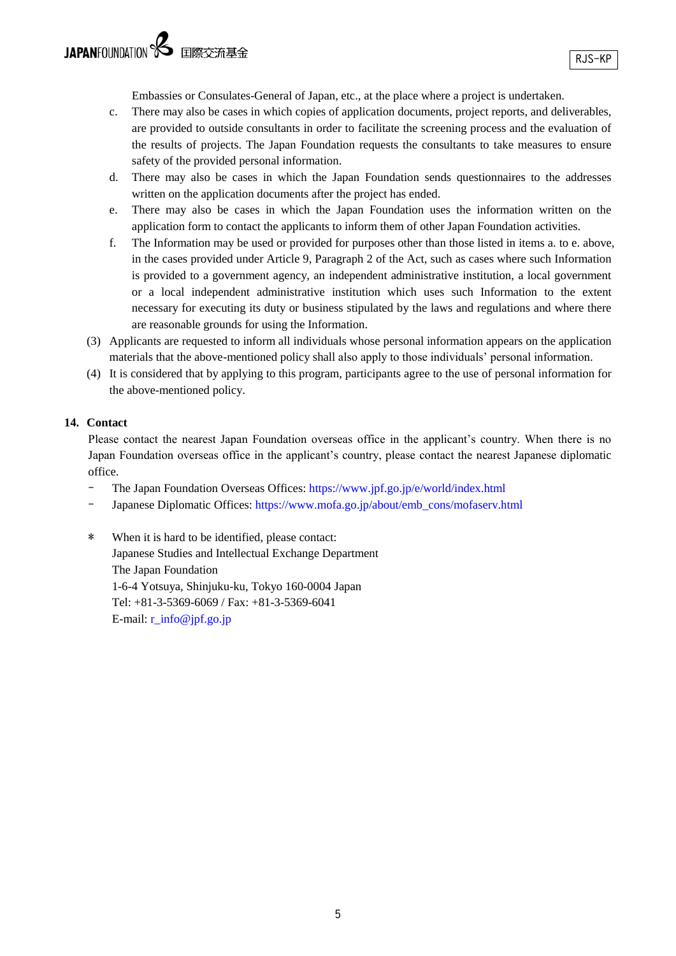Embassies or Consulates-General of Japan, etc., at the place where a project is undertaken.

- c. There may also be cases in which copies of application documents, project reports, and deliverables, are provided to outside consultants in order to facilitate the screening process and the evaluation of the results of projects. The Japan Foundation requests the consultants to take measures to ensure safety of the provided personal information.
- d. There may also be cases in which the Japan Foundation sends questionnaires to the addresses written on the application documents after the project has ended.
- e. There may also be cases in which the Japan Foundation uses the information written on the application form to contact the applicants to inform them of other Japan Foundation activities.
- f. The Information may be used or provided for purposes other than those listed in items a. to e. above, in the cases provided under Article 9, Paragraph 2 of the Act, such as cases where such Information is provided to a government agency, an independent administrative institution, a local government or a local independent administrative institution which uses such Information to the extent necessary for executing its duty or business stipulated by the laws and regulations and where there are reasonable grounds for using the Information.
- (3) Applicants are requested to inform all individuals whose personal information appears on the application materials that the above-mentioned policy shall also apply to those individuals' personal information.
- (4) It is considered that by applying to this program, participants agree to the use of personal information for the above-mentioned policy.

#### **14. Contact**

Please contact the nearest Japan Foundation overseas office in the applicant's country. When there is no Japan Foundation overseas office in the applicant's country, please contact the nearest Japanese diplomatic office.

- The Japan Foundation Overseas Offices:<https://www.jpf.go.jp/e/world/index.html>
- Japanese Diplomatic Offices: [https://www.mofa.go.jp/about/emb\\_cons/mofaserv.html](https://www.mofa.go.jp/about/emb_cons/mofaserv.html)
- \* When it is hard to be identified, please contact: Japanese Studies and Intellectual Exchange Department The Japan Foundation 1-6-4 Yotsuya, Shinjuku-ku, Tokyo 160-0004 Japan Tel: +81-3-5369-6069 / Fax: +81-3-5369-6041 E-mail: [r\\_info@jpf.go.jp](mailto:r_info@jpf.go.jp)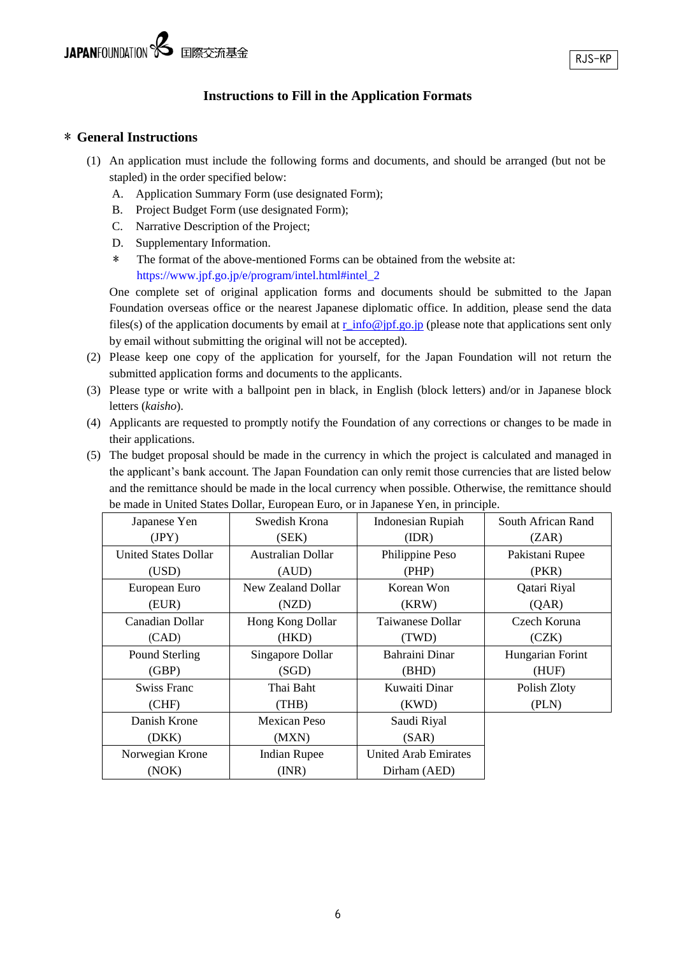# **Instructions to Fill in the Application Formats**

### \* **General Instructions**

- (1) An application must include the following forms and documents, and should be arranged (but not be stapled) in the order specified below:
	- A. Application Summary Form (use designated Form);
	- B. Project Budget Form (use designated Form);
	- C. Narrative Description of the Project;
	- D. Supplementary Information.
	- \* The format of the above-mentioned Forms can be obtained from the website at: [https://www.jpf.go.jp/e/program/intel.html#intel\\_2](https://www.jpf.go.jp/e/program/intel.html#intel_2)

One complete set of original application forms and documents should be submitted to the Japan Foundation overseas office or the nearest Japanese diplomatic office. In addition, please send the data files(s) of the application documents by email at  $r\_info@pf.googleqo.jp$  (please note that applications sent only by email without submitting the original will not be accepted).

- (2) Please keep one copy of the application for yourself, for the Japan Foundation will not return the submitted application forms and documents to the applicants.
- (3) Please type or write with a ballpoint pen in black, in English (block letters) and/or in Japanese block letters (*kaisho*).
- (4) Applicants are requested to promptly notify the Foundation of any corrections or changes to be made in their applications.
- (5) The budget proposal should be made in the currency in which the project is calculated and managed in the applicant's bank account. The Japan Foundation can only remit those currencies that are listed below and the remittance should be made in the local currency when possible. Otherwise, the remittance should be made in United States Dollar, European Euro, or in Japanese Yen, in principle.

| Japanese Yen                | Swedish Krona<br>Indonesian Rupiah |                       | South African Rand |
|-----------------------------|------------------------------------|-----------------------|--------------------|
| (JPY)                       | (SEK)                              | (IDR)                 | (ZAR)              |
| <b>United States Dollar</b> | Australian Dollar                  | Philippine Peso       | Pakistani Rupee    |
| (USD)                       | (AUD)                              | (PHP)                 | (PKR)              |
| European Euro               | New Zealand Dollar                 | Korean Won            | Qatari Riyal       |
| (EUR)                       | (NZD)                              | (KRW)                 | (QAR)              |
| Canadian Dollar             | Hong Kong Dollar                   | Taiwanese Dollar      | Czech Koruna       |
| (CAD)                       | (HKD)                              | (TWD)                 | (CZK)              |
| Pound Sterling              | Singapore Dollar                   | <b>Bahraini Dinar</b> | Hungarian Forint   |
| (GBP)                       | (SGD)                              | (BHD)                 | (HUF)              |
| <b>Swiss Franc</b>          | Thai Baht                          | Kuwaiti Dinar         | Polish Zloty       |
| (CHF)                       | (THB)                              | (KWD)                 | (PLN)              |
| Danish Krone                | Mexican Peso                       | Saudi Riyal           |                    |
| (DKK)                       | (MXN)                              | (SAR)                 |                    |
| Norwegian Krone             | <b>Indian Rupee</b>                | United Arab Emirates  |                    |
| (NOK)                       | (INR)                              | Dirham (AED)          |                    |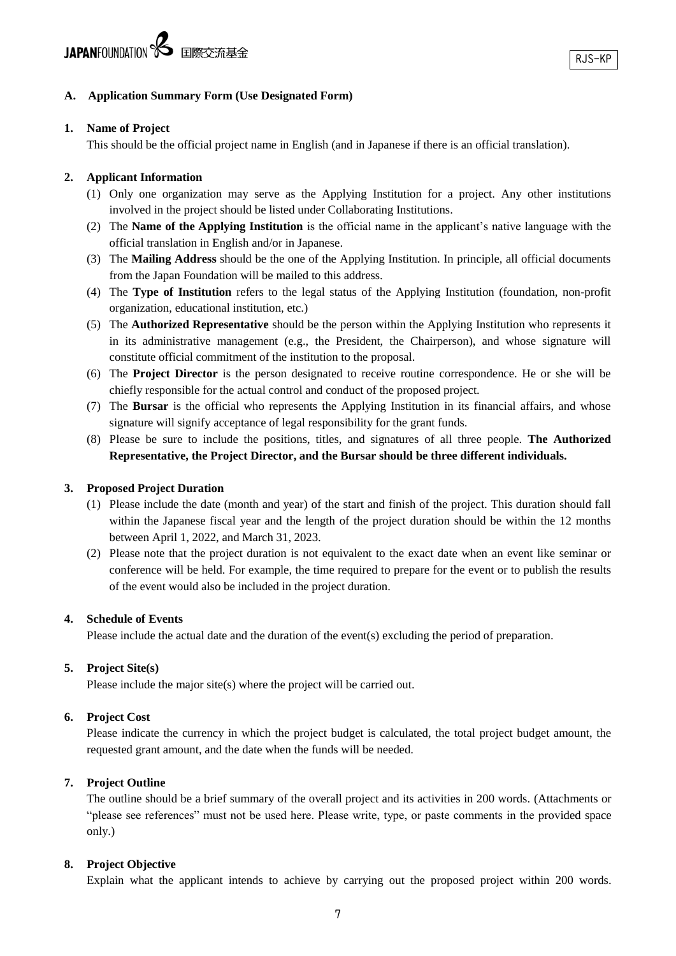### **A. Application Summary Form (Use Designated Form)**

### **1. Name of Project**

This should be the official project name in English (and in Japanese if there is an official translation).

### **2. Applicant Information**

- (1) Only one organization may serve as the Applying Institution for a project. Any other institutions involved in the project should be listed under Collaborating Institutions.
- (2) The **Name of the Applying Institution** is the official name in the applicant's native language with the official translation in English and/or in Japanese.
- (3) The **Mailing Address** should be the one of the Applying Institution. In principle, all official documents from the Japan Foundation will be mailed to this address.
- (4) The **Type of Institution** refers to the legal status of the Applying Institution (foundation, non-profit organization, educational institution, etc.)
- (5) The **Authorized Representative** should be the person within the Applying Institution who represents it in its administrative management (e.g., the President, the Chairperson), and whose signature will constitute official commitment of the institution to the proposal.
- (6) The **Project Director** is the person designated to receive routine correspondence. He or she will be chiefly responsible for the actual control and conduct of the proposed project.
- (7) The **Bursar** is the official who represents the Applying Institution in its financial affairs, and whose signature will signify acceptance of legal responsibility for the grant funds.
- (8) Please be sure to include the positions, titles, and signatures of all three people. **The Authorized Representative, the Project Director, and the Bursar should be three different individuals.**

### **3. Proposed Project Duration**

- (1) Please include the date (month and year) of the start and finish of the project. This duration should fall within the Japanese fiscal year and the length of the project duration should be within the 12 months between April 1, 2022, and March 31, 2023.
- (2) Please note that the project duration is not equivalent to the exact date when an event like seminar or conference will be held. For example, the time required to prepare for the event or to publish the results of the event would also be included in the project duration.

### **4. Schedule of Events**

Please include the actual date and the duration of the event(s) excluding the period of preparation.

### **5. Project Site(s)**

Please include the major site(s) where the project will be carried out.

### **6. Project Cost**

Please indicate the currency in which the project budget is calculated, the total project budget amount, the requested grant amount, and the date when the funds will be needed.

### **7. Project Outline**

The outline should be a brief summary of the overall project and its activities in 200 words. (Attachments or "please see references" must not be used here. Please write, type, or paste comments in the provided space only.)

### **8. Project Objective**

Explain what the applicant intends to achieve by carrying out the proposed project within 200 words.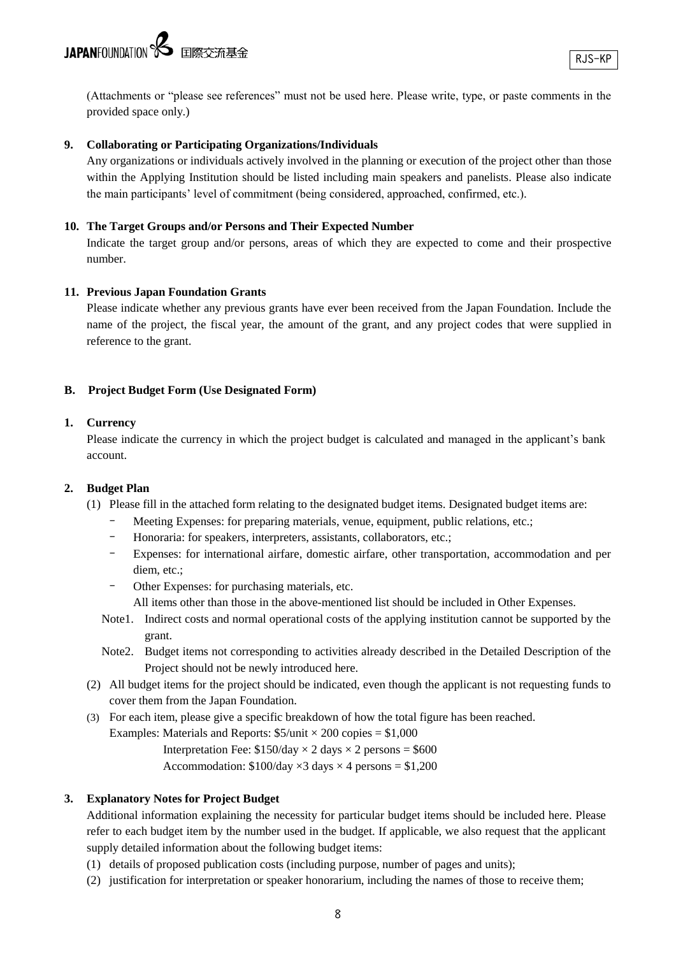(Attachments or "please see references" must not be used here. Please write, type, or paste comments in the provided space only.)

### **9. Collaborating or Participating Organizations/Individuals**

Any organizations or individuals actively involved in the planning or execution of the project other than those within the Applying Institution should be listed including main speakers and panelists. Please also indicate the main participants' level of commitment (being considered, approached, confirmed, etc.).

#### **10. The Target Groups and/or Persons and Their Expected Number**

Indicate the target group and/or persons, areas of which they are expected to come and their prospective number.

#### **11. Previous Japan Foundation Grants**

Please indicate whether any previous grants have ever been received from the Japan Foundation. Include the name of the project, the fiscal year, the amount of the grant, and any project codes that were supplied in reference to the grant.

#### **B. Project Budget Form (Use Designated Form)**

#### **1. Currency**

Please indicate the currency in which the project budget is calculated and managed in the applicant's bank account.

#### **2. Budget Plan**

- (1) Please fill in the attached form relating to the designated budget items. Designated budget items are:
	- Meeting Expenses: for preparing materials, venue, equipment, public relations, etc.;
	- Honoraria: for speakers, interpreters, assistants, collaborators, etc.;
	- Expenses: for international airfare, domestic airfare, other transportation, accommodation and per diem, etc.;
	- Other Expenses: for purchasing materials, etc.
		- All items other than those in the above-mentioned list should be included in Other Expenses.
	- Note1. Indirect costs and normal operational costs of the applying institution cannot be supported by the grant.
	- Note2. Budget items not corresponding to activities already described in the Detailed Description of the Project should not be newly introduced here.
- (2) All budget items for the project should be indicated, even though the applicant is not requesting funds to cover them from the Japan Foundation.
- (3) For each item, please give a specific breakdown of how the total figure has been reached.

Examples: Materials and Reports:  $$5/unit \times 200$  copies = \$1,000

Interpretation Fee:  $$150/day \times 2 days \times 2 persons = $600$ 

Accommodation:  $$100/day \times 3 days \times 4 persons = $1,200$ 

#### **3. Explanatory Notes for Project Budget**

Additional information explaining the necessity for particular budget items should be included here. Please refer to each budget item by the number used in the budget. If applicable, we also request that the applicant supply detailed information about the following budget items:

- (1) details of proposed publication costs (including purpose, number of pages and units);
- (2) justification for interpretation or speaker honorarium, including the names of those to receive them;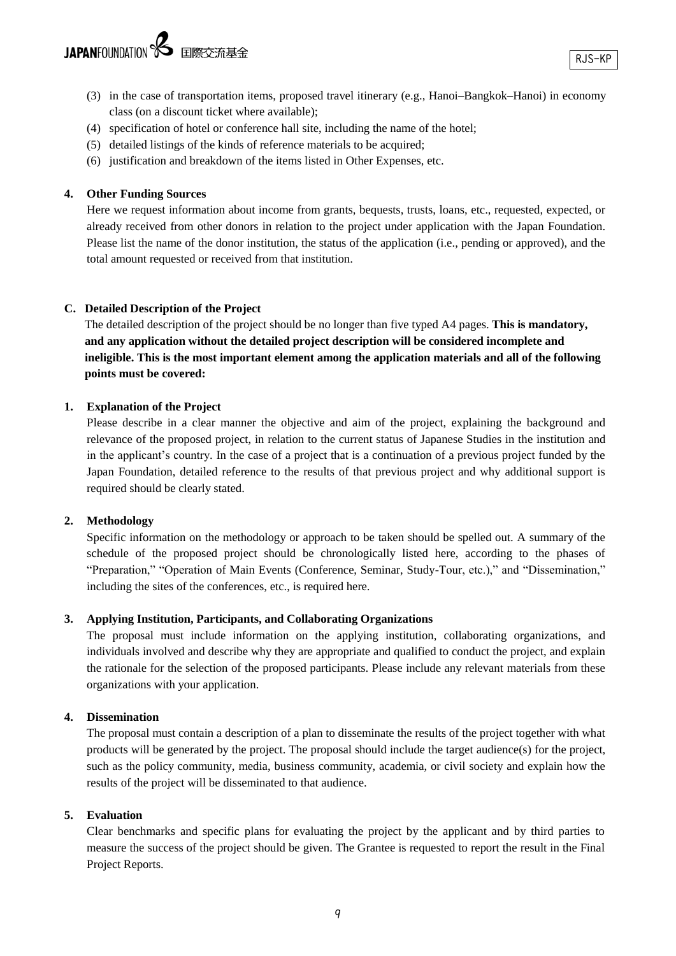- (3) in the case of transportation items, proposed travel itinerary (e.g., Hanoi–Bangkok–Hanoi) in economy class (on a discount ticket where available);
- (4) specification of hotel or conference hall site, including the name of the hotel;
- (5) detailed listings of the kinds of reference materials to be acquired;
- (6) justification and breakdown of the items listed in Other Expenses, etc.

### **4. Other Funding Sources**

Here we request information about income from grants, bequests, trusts, loans, etc., requested, expected, or already received from other donors in relation to the project under application with the Japan Foundation. Please list the name of the donor institution, the status of the application (i.e., pending or approved), and the total amount requested or received from that institution.

### **C. Detailed Description of the Project**

The detailed description of the project should be no longer than five typed A4 pages. **This is mandatory, and any application without the detailed project description will be considered incomplete and ineligible. This is the most important element among the application materials and all of the following points must be covered:**

### **1. Explanation of the Project**

Please describe in a clear manner the objective and aim of the project, explaining the background and relevance of the proposed project, in relation to the current status of Japanese Studies in the institution and in the applicant's country. In the case of a project that is a continuation of a previous project funded by the Japan Foundation, detailed reference to the results of that previous project and why additional support is required should be clearly stated.

### **2. Methodology**

Specific information on the methodology or approach to be taken should be spelled out. A summary of the schedule of the proposed project should be chronologically listed here, according to the phases of "Preparation," "Operation of Main Events (Conference, Seminar, Study-Tour, etc.)," and "Dissemination," including the sites of the conferences, etc., is required here.

### **3. Applying Institution, Participants, and Collaborating Organizations**

The proposal must include information on the applying institution, collaborating organizations, and individuals involved and describe why they are appropriate and qualified to conduct the project, and explain the rationale for the selection of the proposed participants. Please include any relevant materials from these organizations with your application.

### **4. Dissemination**

The proposal must contain a description of a plan to disseminate the results of the project together with what products will be generated by the project. The proposal should include the target audience(s) for the project, such as the policy community, media, business community, academia, or civil society and explain how the results of the project will be disseminated to that audience.

### **5. Evaluation**

Clear benchmarks and specific plans for evaluating the project by the applicant and by third parties to measure the success of the project should be given. The Grantee is requested to report the result in the Final Project Reports.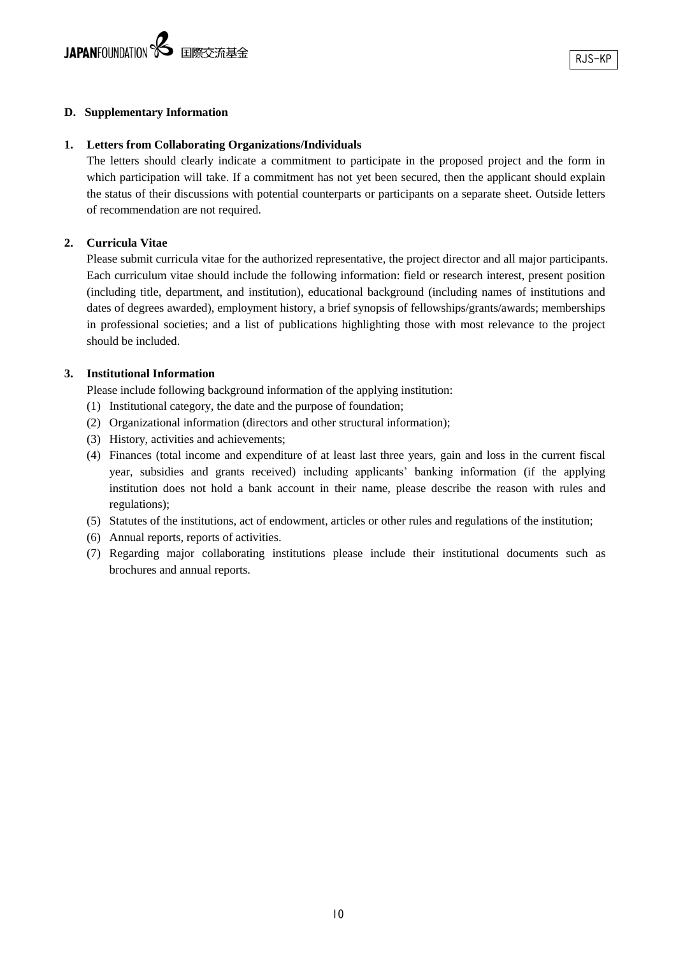### **D. Supplementary Information**

#### **1. Letters from Collaborating Organizations/Individuals**

The letters should clearly indicate a commitment to participate in the proposed project and the form in which participation will take. If a commitment has not yet been secured, then the applicant should explain the status of their discussions with potential counterparts or participants on a separate sheet. Outside letters of recommendation are not required.

### **2. Curricula Vitae**

Please submit curricula vitae for the authorized representative, the project director and all major participants. Each curriculum vitae should include the following information: field or research interest, present position (including title, department, and institution), educational background (including names of institutions and dates of degrees awarded), employment history, a brief synopsis of fellowships/grants/awards; memberships in professional societies; and a list of publications highlighting those with most relevance to the project should be included.

### **3. Institutional Information**

Please include following background information of the applying institution:

- (1) Institutional category, the date and the purpose of foundation;
- (2) Organizational information (directors and other structural information);
- (3) History, activities and achievements;
- (4) Finances (total income and expenditure of at least last three years, gain and loss in the current fiscal year, subsidies and grants received) including applicants' banking information (if the applying institution does not hold a bank account in their name, please describe the reason with rules and regulations);
- (5) Statutes of the institutions, act of endowment, articles or other rules and regulations of the institution;
- (6) Annual reports, reports of activities.
- (7) Regarding major collaborating institutions please include their institutional documents such as brochures and annual reports.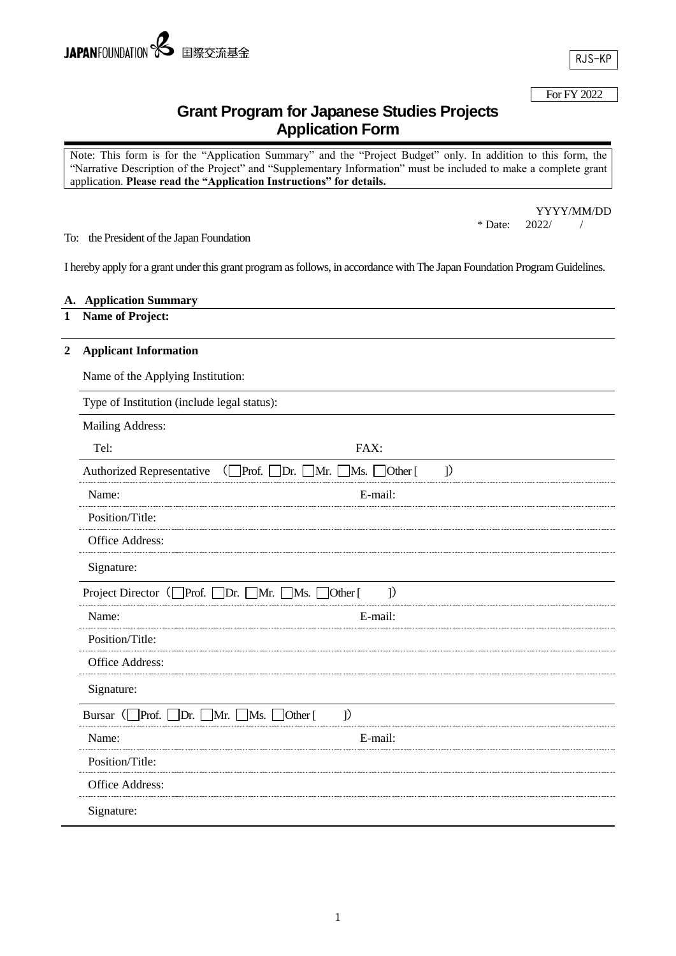RJS-KP

### For FY 2022

# **Grant Program for Japanese Studies Projects Application Form**

Note: This form is for the "Application Summary" and the "Project Budget" only. In addition to this form, the "Narrative Description of the Project" and "Supplementary Information" must be included to make a complete grant application. **Please read the "Application Instructions" for details.**

> YYYY/MM/DD 2022/  $\hspace{0.1mm}$  / \* Date: 2022/ /

To: the President of the Japan Foundation

I hereby apply for a grant under this grant program as follows, in accordance with The Japan Foundation Program Guidelines.

#### **A. Application Summary**

## **1 Name of Project:**

#### **2 Applicant Information**

Name of the Applying Institution:

Type of Institution (include legal status):

| Mailing Address:                                                 |                                                                      |               |
|------------------------------------------------------------------|----------------------------------------------------------------------|---------------|
| Tel:                                                             | FAX:                                                                 |               |
| <b>Authorized Representative</b>                                 | $Prof. \Box Dr. \Box Mr. \Box$<br>$\Box$ Ms. $\Box$ Other [<br>(L    | $\mathcal{I}$ |
| Name:                                                            | E-mail:                                                              |               |
| Position/Title:                                                  |                                                                      |               |
| Office Address:                                                  |                                                                      |               |
| Signature:                                                       |                                                                      |               |
| Project Director ( $\Box$ Prof. $\Box$ Dr. $\Box$ Mr. $\Box$ Ms. | $\mathcal{I}$<br>$\left[$ Other $\left[$                             |               |
| Name:                                                            | E-mail:                                                              |               |
| Position/Title:                                                  |                                                                      |               |
| Office Address:                                                  |                                                                      |               |
| Signature:                                                       |                                                                      |               |
| Bursar ( $\Box$ Prof. [<br>Dr.                                   | $\mathcal{I}$<br>$\Box$ Mr. $\Box$<br>Ms.<br>$\left[$ Other $\left[$ |               |
| Name:                                                            | E-mail:                                                              |               |
| Position/Title:                                                  |                                                                      |               |
| Office Address:                                                  |                                                                      |               |
| Signature:                                                       |                                                                      |               |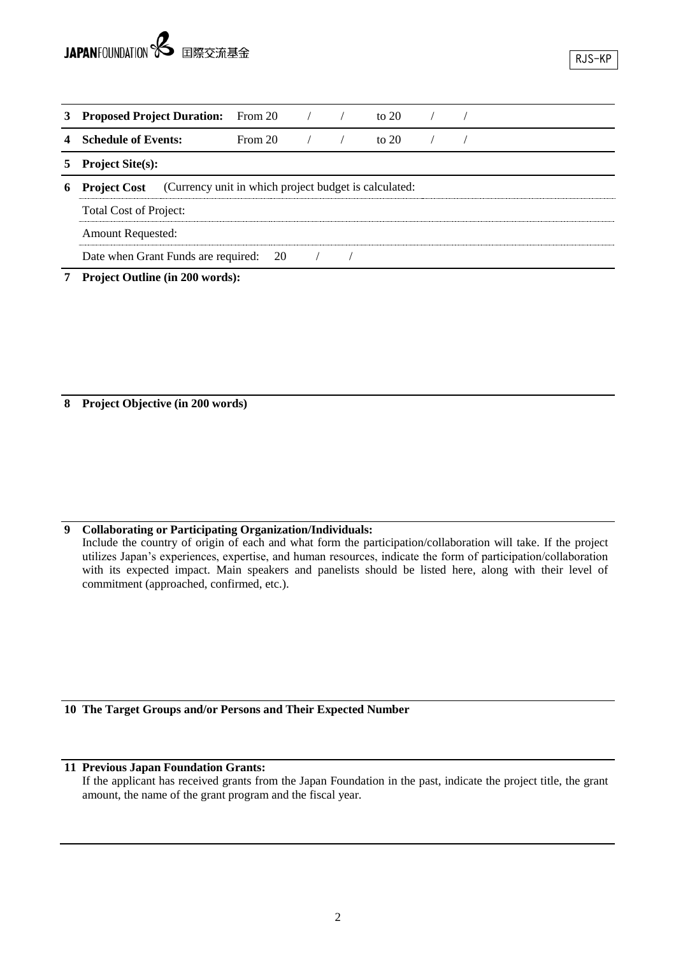| 3 | <b>Proposed Project Duration:</b>                                            | From 20 |  |  | to $20$ |  |  |  |
|---|------------------------------------------------------------------------------|---------|--|--|---------|--|--|--|
|   | <b>Schedule of Events:</b>                                                   | From 20 |  |  | to $20$ |  |  |  |
|   | <b>Project Site(s):</b>                                                      |         |  |  |         |  |  |  |
| 6 | (Currency unit in which project budget is calculated:<br><b>Project Cost</b> |         |  |  |         |  |  |  |
|   | <b>Total Cost of Project:</b>                                                |         |  |  |         |  |  |  |
|   | <b>Amount Requested:</b>                                                     |         |  |  |         |  |  |  |
|   | Date when Grant Funds are required: 20                                       |         |  |  |         |  |  |  |

**7 Project Outline (in 200 words):**

**8 Project Objective (in 200 words)**

# **9 Collaborating or Participating Organization/Individuals:**

Include the country of origin of each and what form the participation/collaboration will take. If the project utilizes Japan's experiences, expertise, and human resources, indicate the form of participation/collaboration with its expected impact. Main speakers and panelists should be listed here, along with their level of commitment (approached, confirmed, etc.).

**10 The Target Groups and/or Persons and Their Expected Number**

### **11 Previous Japan Foundation Grants:**

If the applicant has received grants from the Japan Foundation in the past, indicate the project title, the grant amount, the name of the grant program and the fiscal year.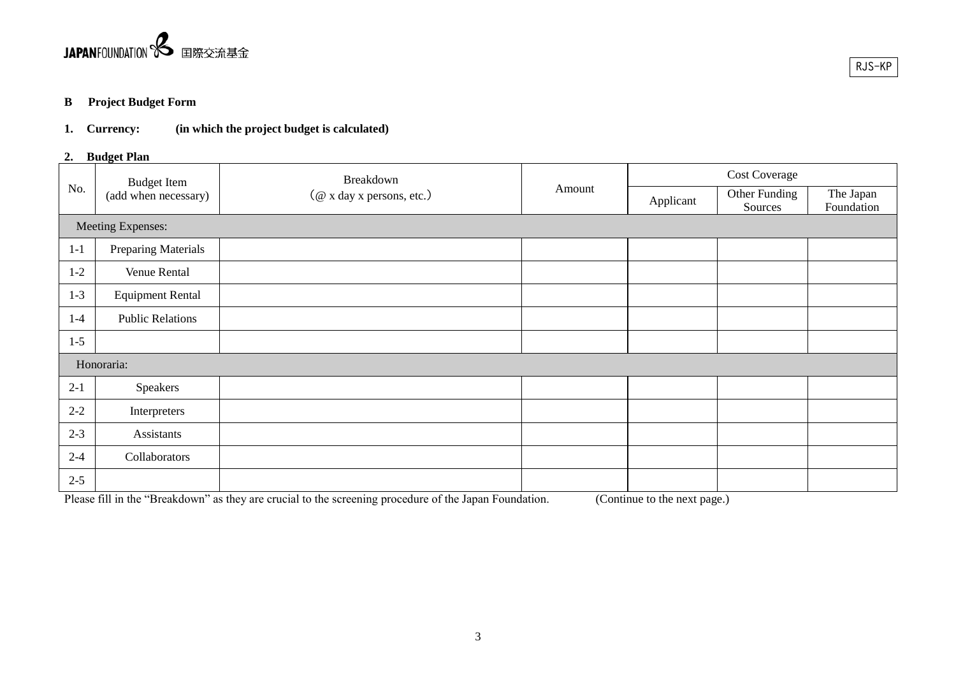

## **B Project Budget Form**

# **1. Currency: (in which the project budget is calculated)**

### **2. Budget Plan**

|         |                         | Breakdown<br><b>Budget Item</b><br>Amount<br>(@ x day x persons, etc.) |           | <b>Cost Coverage</b>     |                         |  |
|---------|-------------------------|------------------------------------------------------------------------|-----------|--------------------------|-------------------------|--|
| No.     | (add when necessary)    |                                                                        | Applicant | Other Funding<br>Sources | The Japan<br>Foundation |  |
|         | Meeting Expenses:       |                                                                        |           |                          |                         |  |
| $1-1$   | Preparing Materials     |                                                                        |           |                          |                         |  |
| $1-2$   | Venue Rental            |                                                                        |           |                          |                         |  |
| $1 - 3$ | <b>Equipment Rental</b> |                                                                        |           |                          |                         |  |
| $1-4$   | <b>Public Relations</b> |                                                                        |           |                          |                         |  |
| $1-5$   |                         |                                                                        |           |                          |                         |  |
|         | Honoraria:              |                                                                        |           |                          |                         |  |
| $2 - 1$ | Speakers                |                                                                        |           |                          |                         |  |
| $2 - 2$ | Interpreters            |                                                                        |           |                          |                         |  |
| $2 - 3$ | Assistants              |                                                                        |           |                          |                         |  |
| $2 - 4$ | Collaborators           |                                                                        |           |                          |                         |  |
| $2 - 5$ |                         |                                                                        |           |                          |                         |  |

Please fill in the "Breakdown" as they are crucial to the screening procedure of the Japan Foundation. (Continue to the next page.)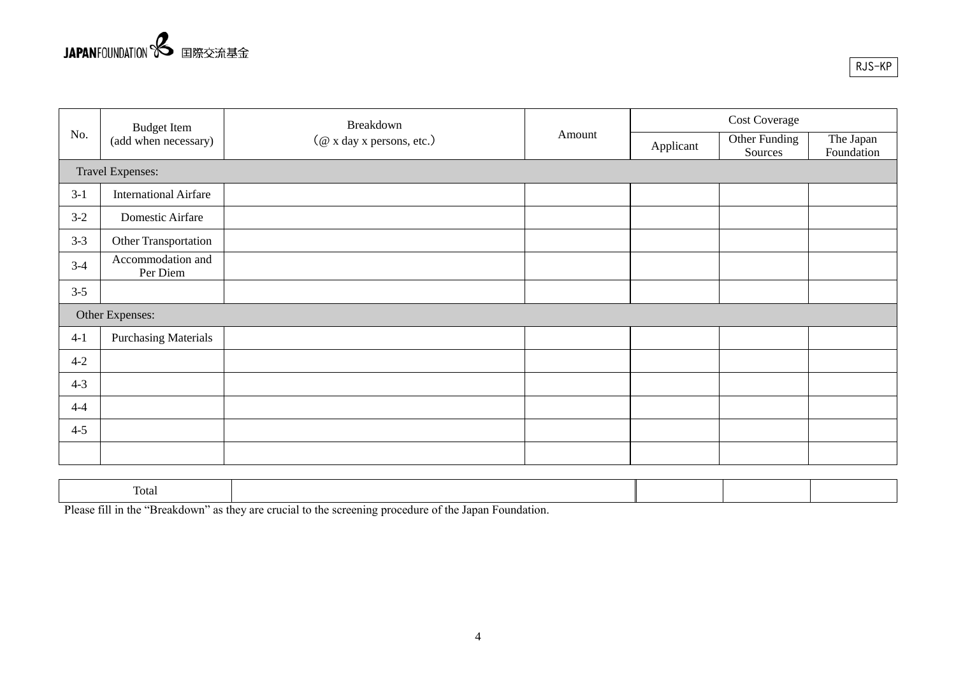

|         |                               | Breakdown<br><b>Budget Item</b><br>Amount<br>(@ x day x persons, etc.) | <b>Cost Coverage</b> |                          |                         |
|---------|-------------------------------|------------------------------------------------------------------------|----------------------|--------------------------|-------------------------|
| No.     | (add when necessary)          |                                                                        | Applicant            | Other Funding<br>Sources | The Japan<br>Foundation |
|         | Travel Expenses:              |                                                                        |                      |                          |                         |
| $3-1$   | <b>International Airfare</b>  |                                                                        |                      |                          |                         |
| $3 - 2$ | Domestic Airfare              |                                                                        |                      |                          |                         |
| $3-3$   | Other Transportation          |                                                                        |                      |                          |                         |
| $3-4$   | Accommodation and<br>Per Diem |                                                                        |                      |                          |                         |
| $3 - 5$ |                               |                                                                        |                      |                          |                         |
|         | Other Expenses:               |                                                                        |                      |                          |                         |
| $4-1$   | <b>Purchasing Materials</b>   |                                                                        |                      |                          |                         |
| $4 - 2$ |                               |                                                                        |                      |                          |                         |
| $4 - 3$ |                               |                                                                        |                      |                          |                         |
| $4 - 4$ |                               |                                                                        |                      |                          |                         |
| $4 - 5$ |                               |                                                                        |                      |                          |                         |
|         |                               |                                                                        |                      |                          |                         |

| $\sim$<br>Total |    |  |  |
|-----------------|----|--|--|
|                 | __ |  |  |

Please fill in the "Breakdown" as they are crucial to the screening procedure of the Japan Foundation.